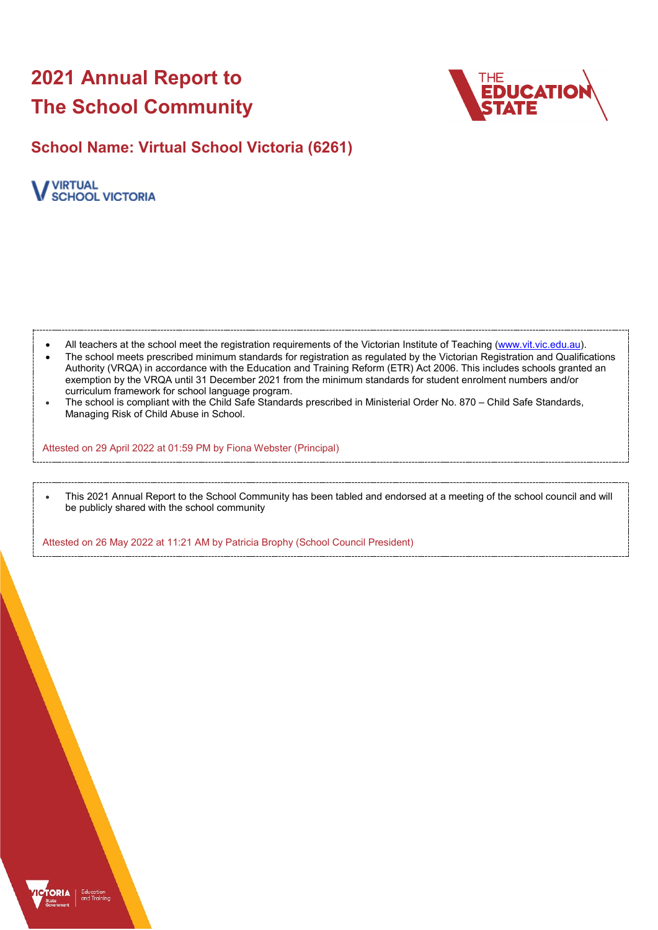# **2021 Annual Report to The School Community**



# **School Name: Virtual School Victoria (6261)**



- All teachers at the school meet the registration requirements of the Victorian Institute of Teaching [\(www.vit.vic.edu.au\)](https://www.vit.vic.edu.au/).
- The school meets prescribed minimum standards for registration as regulated by the Victorian Registration and Qualifications Authority (VRQA) in accordance with the Education and Training Reform (ETR) Act 2006. This includes schools granted an exemption by the VRQA until 31 December 2021 from the minimum standards for student enrolment numbers and/or curriculum framework for school language program.
- The school is compliant with the Child Safe Standards prescribed in Ministerial Order No. 870 Child Safe Standards, Managing Risk of Child Abuse in School.

Attested on 29 April 2022 at 01:59 PM by Fiona Webster (Principal)

• This 2021 Annual Report to the School Community has been tabled and endorsed at a meeting of the school council and will be publicly shared with the school community

Attested on 26 May 2022 at 11:21 AM by Patricia Brophy (School Council President)

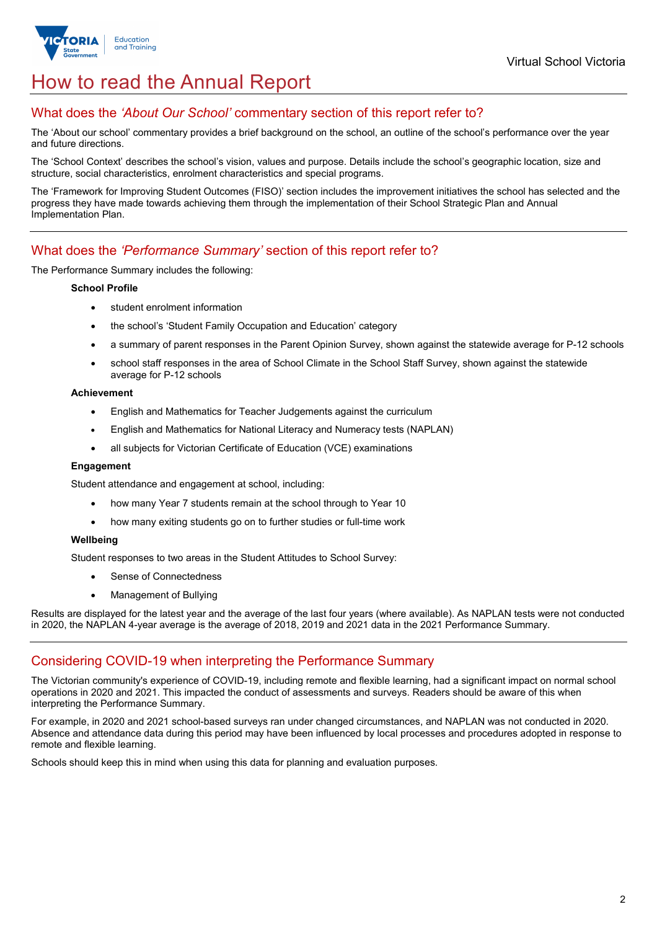

# How to read the Annual Report

### What does the *'About Our School'* commentary section of this report refer to?

The 'About our school' commentary provides a brief background on the school, an outline of the school's performance over the year and future directions.

The 'School Context' describes the school's vision, values and purpose. Details include the school's geographic location, size and structure, social characteristics, enrolment characteristics and special programs.

The 'Framework for Improving Student Outcomes (FISO)' section includes the improvement initiatives the school has selected and the progress they have made towards achieving them through the implementation of their School Strategic Plan and Annual Implementation Plan.

## What does the *'Performance Summary'* section of this report refer to?

### The Performance Summary includes the following:

#### **School Profile**

- student enrolment information
- the school's 'Student Family Occupation and Education' category
- a summary of parent responses in the Parent Opinion Survey, shown against the statewide average for P-12 schools
- school staff responses in the area of School Climate in the School Staff Survey, shown against the statewide average for P-12 schools

#### **Achievement**

- English and Mathematics for Teacher Judgements against the curriculum
- English and Mathematics for National Literacy and Numeracy tests (NAPLAN)
- all subjects for Victorian Certificate of Education (VCE) examinations

### **Engagement**

Student attendance and engagement at school, including:

- how many Year 7 students remain at the school through to Year 10
- how many exiting students go on to further studies or full-time work

### **Wellbeing**

Student responses to two areas in the Student Attitudes to School Survey:

- Sense of Connectedness
- Management of Bullying

Results are displayed for the latest year and the average of the last four years (where available). As NAPLAN tests were not conducted in 2020, the NAPLAN 4-year average is the average of 2018, 2019 and 2021 data in the 2021 Performance Summary.

### Considering COVID-19 when interpreting the Performance Summary

The Victorian community's experience of COVID-19, including remote and flexible learning, had a significant impact on normal school operations in 2020 and 2021. This impacted the conduct of assessments and surveys. Readers should be aware of this when interpreting the Performance Summary.

For example, in 2020 and 2021 school-based surveys ran under changed circumstances, and NAPLAN was not conducted in 2020. Absence and attendance data during this period may have been influenced by local processes and procedures adopted in response to remote and flexible learning.

Schools should keep this in mind when using this data for planning and evaluation purposes.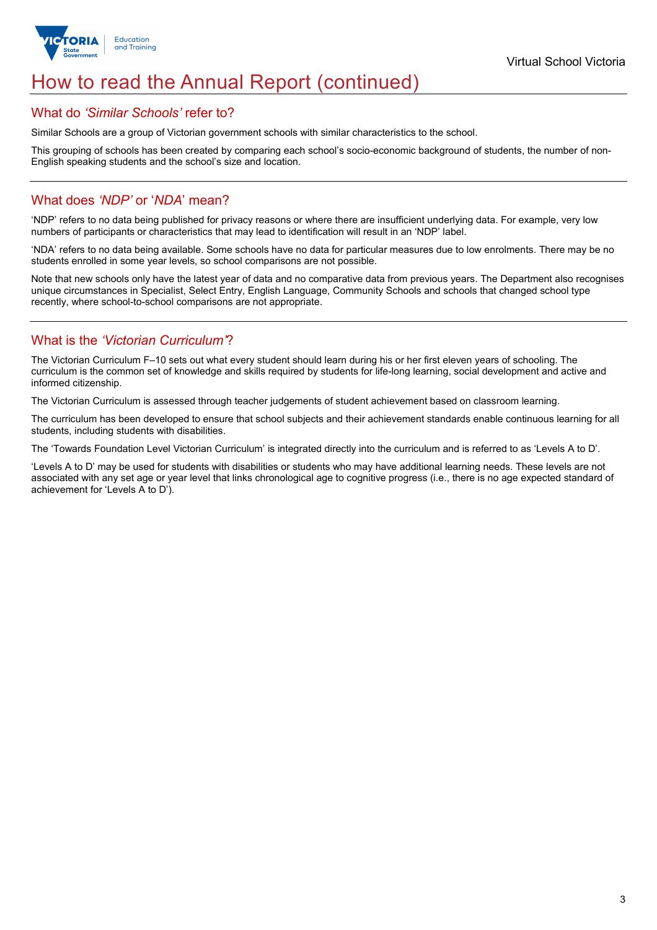

# How to read the Annual Report (continued)

### What do *'Similar Schools'* refer to?

Similar Schools are a group of Victorian government schools with similar characteristics to the school.

This grouping of schools has been created by comparing each school's socio-economic background of students, the number of non-English speaking students and the school's size and location.

### What does *'NDP'* or '*NDA*' mean?

'NDP' refers to no data being published for privacy reasons or where there are insufficient underlying data. For example, very low numbers of participants or characteristics that may lead to identification will result in an 'NDP' label.

'NDA' refers to no data being available. Some schools have no data for particular measures due to low enrolments. There may be no students enrolled in some year levels, so school comparisons are not possible.

Note that new schools only have the latest year of data and no comparative data from previous years. The Department also recognises unique circumstances in Specialist, Select Entry, English Language, Community Schools and schools that changed school type recently, where school-to-school comparisons are not appropriate.

## What is the *'Victorian Curriculum'*?

The Victorian Curriculum F–10 sets out what every student should learn during his or her first eleven years of schooling. The curriculum is the common set of knowledge and skills required by students for life-long learning, social development and active and informed citizenship.

The Victorian Curriculum is assessed through teacher judgements of student achievement based on classroom learning.

The curriculum has been developed to ensure that school subjects and their achievement standards enable continuous learning for all students, including students with disabilities.

The 'Towards Foundation Level Victorian Curriculum' is integrated directly into the curriculum and is referred to as 'Levels A to D'.

'Levels A to D' may be used for students with disabilities or students who may have additional learning needs. These levels are not associated with any set age or year level that links chronological age to cognitive progress (i.e., there is no age expected standard of achievement for 'Levels A to D').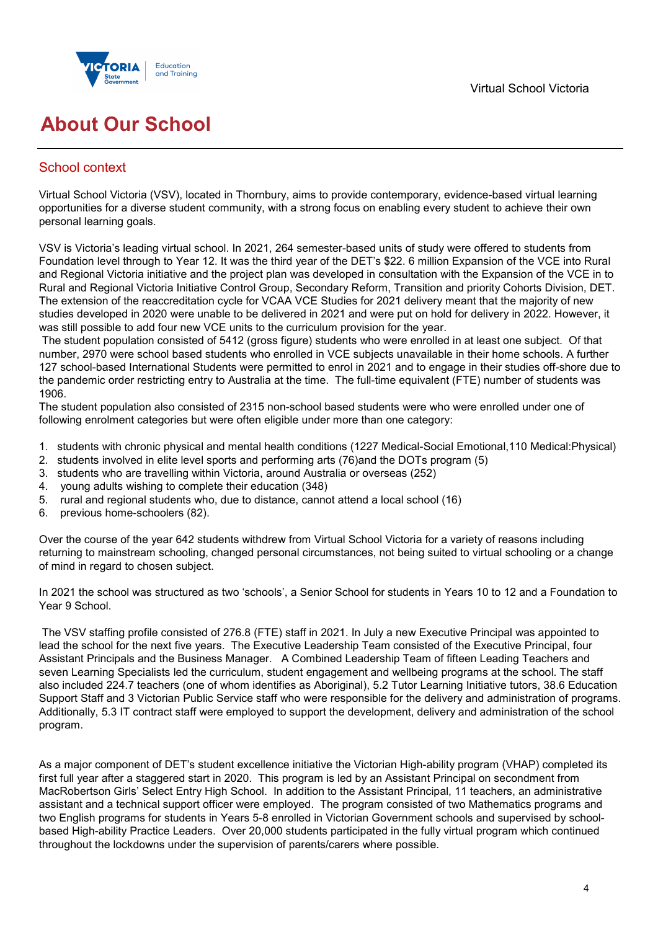

# **About Our School**

## School context

Virtual School Victoria (VSV), located in Thornbury, aims to provide contemporary, evidence-based virtual learning opportunities for a diverse student community, with a strong focus on enabling every student to achieve their own personal learning goals.

VSV is Victoria's leading virtual school. In 2021, 264 semester-based units of study were offered to students from Foundation level through to Year 12. It was the third year of the DET's \$22. 6 million Expansion of the VCE into Rural and Regional Victoria initiative and the project plan was developed in consultation with the Expansion of the VCE in to Rural and Regional Victoria Initiative Control Group, Secondary Reform, Transition and priority Cohorts Division, DET. The extension of the reaccreditation cycle for VCAA VCE Studies for 2021 delivery meant that the majority of new studies developed in 2020 were unable to be delivered in 2021 and were put on hold for delivery in 2022. However, it was still possible to add four new VCE units to the curriculum provision for the year.

The student population consisted of 5412 (gross figure) students who were enrolled in at least one subject. Of that number, 2970 were school based students who enrolled in VCE subjects unavailable in their home schools. A further 127 school-based International Students were permitted to enrol in 2021 and to engage in their studies off-shore due to the pandemic order restricting entry to Australia at the time. The full-time equivalent (FTE) number of students was 1906.

The student population also consisted of 2315 non-school based students were who were enrolled under one of following enrolment categories but were often eligible under more than one category:

- 1. students with chronic physical and mental health conditions (1227 Medical-Social Emotional,110 Medical:Physical)
- 2. students involved in elite level sports and performing arts (76)and the DOTs program (5)
- 3. students who are travelling within Victoria, around Australia or overseas (252)
- 4. young adults wishing to complete their education (348)
- 5. rural and regional students who, due to distance, cannot attend a local school (16)
- 6. previous home-schoolers (82).

Over the course of the year 642 students withdrew from Virtual School Victoria for a variety of reasons including returning to mainstream schooling, changed personal circumstances, not being suited to virtual schooling or a change of mind in regard to chosen subject.

In 2021 the school was structured as two 'schools', a Senior School for students in Years 10 to 12 and a Foundation to Year 9 School.

The VSV staffing profile consisted of 276.8 (FTE) staff in 2021. In July a new Executive Principal was appointed to lead the school for the next five years. The Executive Leadership Team consisted of the Executive Principal, four Assistant Principals and the Business Manager. A Combined Leadership Team of fifteen Leading Teachers and seven Learning Specialists led the curriculum, student engagement and wellbeing programs at the school. The staff also included 224.7 teachers (one of whom identifies as Aboriginal), 5.2 Tutor Learning Initiative tutors, 38.6 Education Support Staff and 3 Victorian Public Service staff who were responsible for the delivery and administration of programs. Additionally, 5.3 IT contract staff were employed to support the development, delivery and administration of the school program.

As a major component of DET's student excellence initiative the Victorian High-ability program (VHAP) completed its first full year after a staggered start in 2020. This program is led by an Assistant Principal on secondment from MacRobertson Girls' Select Entry High School. In addition to the Assistant Principal, 11 teachers, an administrative assistant and a technical support officer were employed. The program consisted of two Mathematics programs and two English programs for students in Years 5-8 enrolled in Victorian Government schools and supervised by schoolbased High-ability Practice Leaders. Over 20,000 students participated in the fully virtual program which continued throughout the lockdowns under the supervision of parents/carers where possible.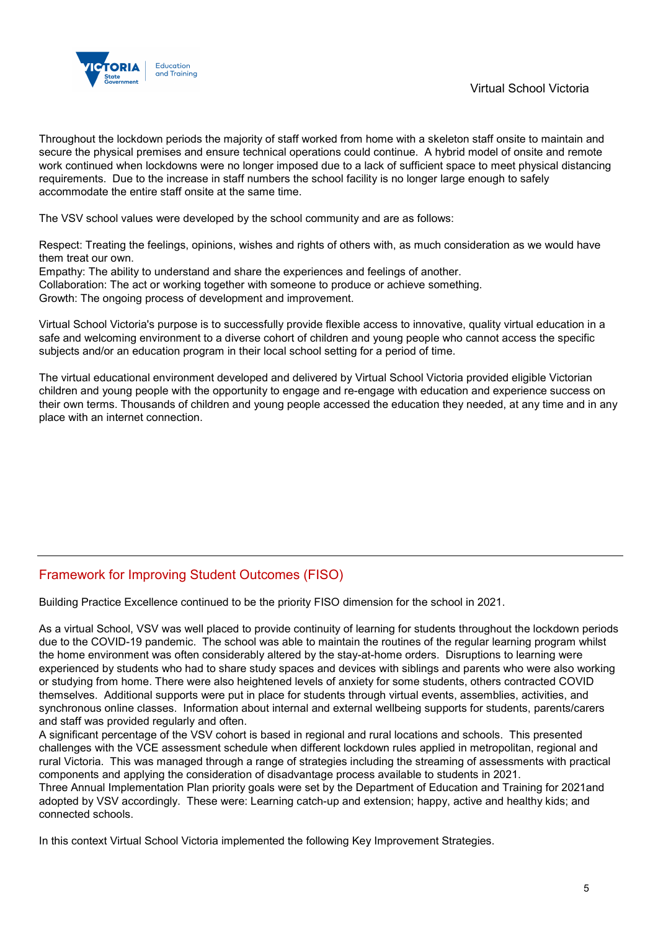

Throughout the lockdown periods the majority of staff worked from home with a skeleton staff onsite to maintain and secure the physical premises and ensure technical operations could continue. A hybrid model of onsite and remote work continued when lockdowns were no longer imposed due to a lack of sufficient space to meet physical distancing requirements. Due to the increase in staff numbers the school facility is no longer large enough to safely accommodate the entire staff onsite at the same time.

The VSV school values were developed by the school community and are as follows:

Respect: Treating the feelings, opinions, wishes and rights of others with, as much consideration as we would have them treat our own.

Empathy: The ability to understand and share the experiences and feelings of another.

Collaboration: The act or working together with someone to produce or achieve something.

Growth: The ongoing process of development and improvement.

Virtual School Victoria's purpose is to successfully provide flexible access to innovative, quality virtual education in a safe and welcoming environment to a diverse cohort of children and young people who cannot access the specific subjects and/or an education program in their local school setting for a period of time.

The virtual educational environment developed and delivered by Virtual School Victoria provided eligible Victorian children and young people with the opportunity to engage and re-engage with education and experience success on their own terms. Thousands of children and young people accessed the education they needed, at any time and in any place with an internet connection.

## Framework for Improving Student Outcomes (FISO)

Building Practice Excellence continued to be the priority FISO dimension for the school in 2021.

As a virtual School, VSV was well placed to provide continuity of learning for students throughout the lockdown periods due to the COVID-19 pandemic. The school was able to maintain the routines of the regular learning program whilst the home environment was often considerably altered by the stay-at-home orders. Disruptions to learning were experienced by students who had to share study spaces and devices with siblings and parents who were also working or studying from home. There were also heightened levels of anxiety for some students, others contracted COVID themselves. Additional supports were put in place for students through virtual events, assemblies, activities, and synchronous online classes. Information about internal and external wellbeing supports for students, parents/carers and staff was provided regularly and often.

A significant percentage of the VSV cohort is based in regional and rural locations and schools. This presented challenges with the VCE assessment schedule when different lockdown rules applied in metropolitan, regional and rural Victoria. This was managed through a range of strategies including the streaming of assessments with practical components and applying the consideration of disadvantage process available to students in 2021.

Three Annual Implementation Plan priority goals were set by the Department of Education and Training for 2021and adopted by VSV accordingly. These were: Learning catch-up and extension; happy, active and healthy kids; and connected schools.

In this context Virtual School Victoria implemented the following Key Improvement Strategies.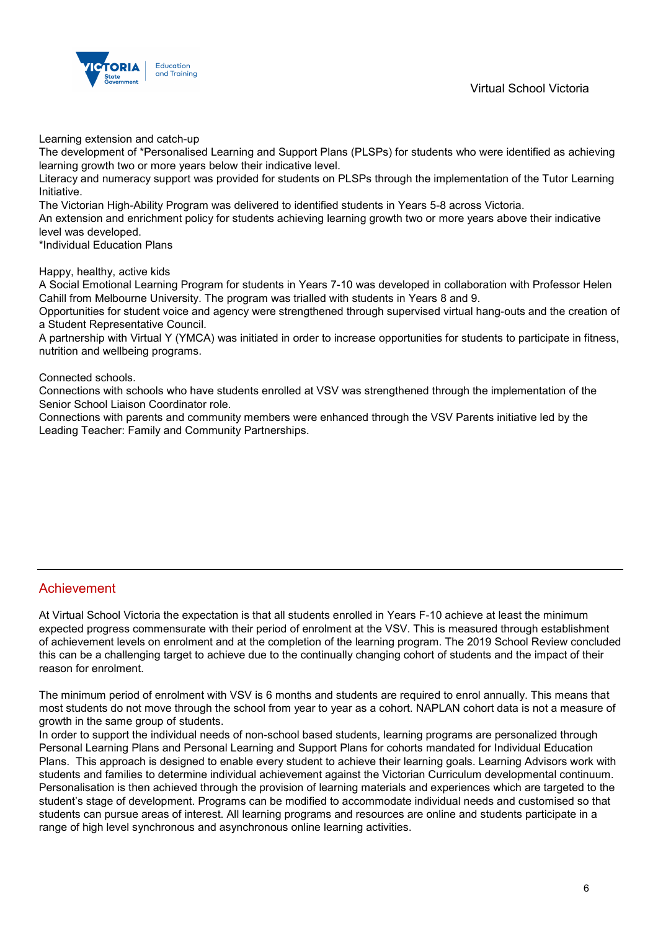Virtual School Victoria



Learning extension and catch-up

The development of \*Personalised Learning and Support Plans (PLSPs) for students who were identified as achieving learning growth two or more years below their indicative level.

Literacy and numeracy support was provided for students on PLSPs through the implementation of the Tutor Learning Initiative.

The Victorian High-Ability Program was delivered to identified students in Years 5-8 across Victoria.

An extension and enrichment policy for students achieving learning growth two or more years above their indicative level was developed.

\*Individual Education Plans

Happy, healthy, active kids

A Social Emotional Learning Program for students in Years 7-10 was developed in collaboration with Professor Helen Cahill from Melbourne University. The program was trialled with students in Years 8 and 9.

Opportunities for student voice and agency were strengthened through supervised virtual hang-outs and the creation of a Student Representative Council.

A partnership with Virtual Y (YMCA) was initiated in order to increase opportunities for students to participate in fitness, nutrition and wellbeing programs.

Connected schools.

Connections with schools who have students enrolled at VSV was strengthened through the implementation of the Senior School Liaison Coordinator role.

Connections with parents and community members were enhanced through the VSV Parents initiative led by the Leading Teacher: Family and Community Partnerships.

### Achievement

At Virtual School Victoria the expectation is that all students enrolled in Years F-10 achieve at least the minimum expected progress commensurate with their period of enrolment at the VSV. This is measured through establishment of achievement levels on enrolment and at the completion of the learning program. The 2019 School Review concluded this can be a challenging target to achieve due to the continually changing cohort of students and the impact of their reason for enrolment.

The minimum period of enrolment with VSV is 6 months and students are required to enrol annually. This means that most students do not move through the school from year to year as a cohort. NAPLAN cohort data is not a measure of growth in the same group of students.

In order to support the individual needs of non-school based students, learning programs are personalized through Personal Learning Plans and Personal Learning and Support Plans for cohorts mandated for Individual Education Plans. This approach is designed to enable every student to achieve their learning goals. Learning Advisors work with students and families to determine individual achievement against the Victorian Curriculum developmental continuum. Personalisation is then achieved through the provision of learning materials and experiences which are targeted to the student's stage of development. Programs can be modified to accommodate individual needs and customised so that students can pursue areas of interest. All learning programs and resources are online and students participate in a range of high level synchronous and asynchronous online learning activities.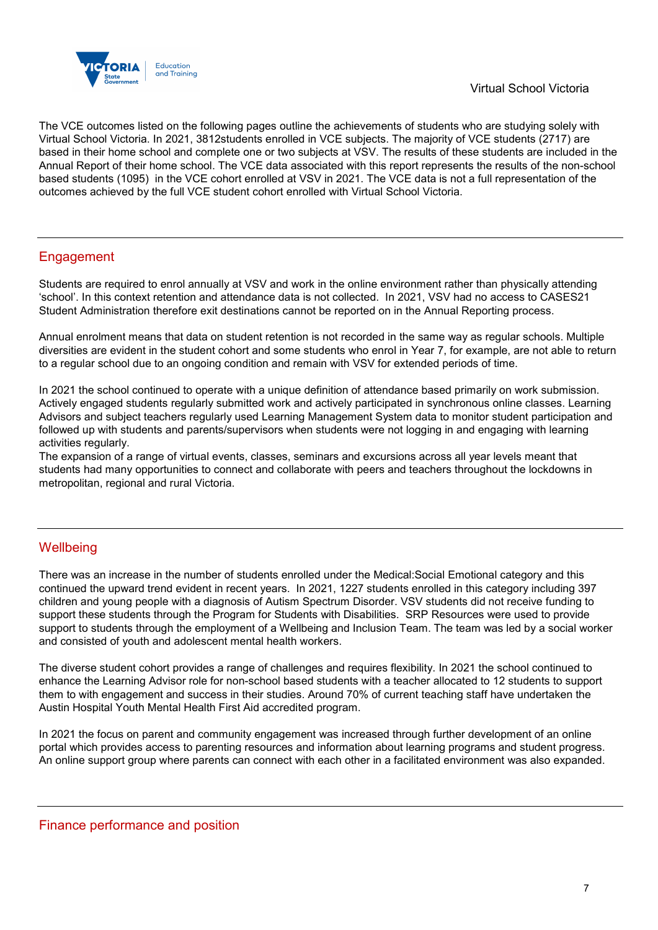

The VCE outcomes listed on the following pages outline the achievements of students who are studying solely with Virtual School Victoria. In 2021, 3812students enrolled in VCE subjects. The majority of VCE students (2717) are based in their home school and complete one or two subjects at VSV. The results of these students are included in the Annual Report of their home school. The VCE data associated with this report represents the results of the non-school based students (1095) in the VCE cohort enrolled at VSV in 2021. The VCE data is not a full representation of the outcomes achieved by the full VCE student cohort enrolled with Virtual School Victoria.

## **Engagement**

Students are required to enrol annually at VSV and work in the online environment rather than physically attending 'school'. In this context retention and attendance data is not collected. In 2021, VSV had no access to CASES21 Student Administration therefore exit destinations cannot be reported on in the Annual Reporting process.

Annual enrolment means that data on student retention is not recorded in the same way as regular schools. Multiple diversities are evident in the student cohort and some students who enrol in Year 7, for example, are not able to return to a regular school due to an ongoing condition and remain with VSV for extended periods of time.

In 2021 the school continued to operate with a unique definition of attendance based primarily on work submission. Actively engaged students regularly submitted work and actively participated in synchronous online classes. Learning Advisors and subject teachers regularly used Learning Management System data to monitor student participation and followed up with students and parents/supervisors when students were not logging in and engaging with learning activities regularly.

The expansion of a range of virtual events, classes, seminars and excursions across all year levels meant that students had many opportunities to connect and collaborate with peers and teachers throughout the lockdowns in metropolitan, regional and rural Victoria.

## **Wellbeing**

There was an increase in the number of students enrolled under the Medical:Social Emotional category and this continued the upward trend evident in recent years. In 2021, 1227 students enrolled in this category including 397 children and young people with a diagnosis of Autism Spectrum Disorder. VSV students did not receive funding to support these students through the Program for Students with Disabilities. SRP Resources were used to provide support to students through the employment of a Wellbeing and Inclusion Team. The team was led by a social worker and consisted of youth and adolescent mental health workers.

The diverse student cohort provides a range of challenges and requires flexibility. In 2021 the school continued to enhance the Learning Advisor role for non-school based students with a teacher allocated to 12 students to support them to with engagement and success in their studies. Around 70% of current teaching staff have undertaken the Austin Hospital Youth Mental Health First Aid accredited program.

In 2021 the focus on parent and community engagement was increased through further development of an online portal which provides access to parenting resources and information about learning programs and student progress. An online support group where parents can connect with each other in a facilitated environment was also expanded.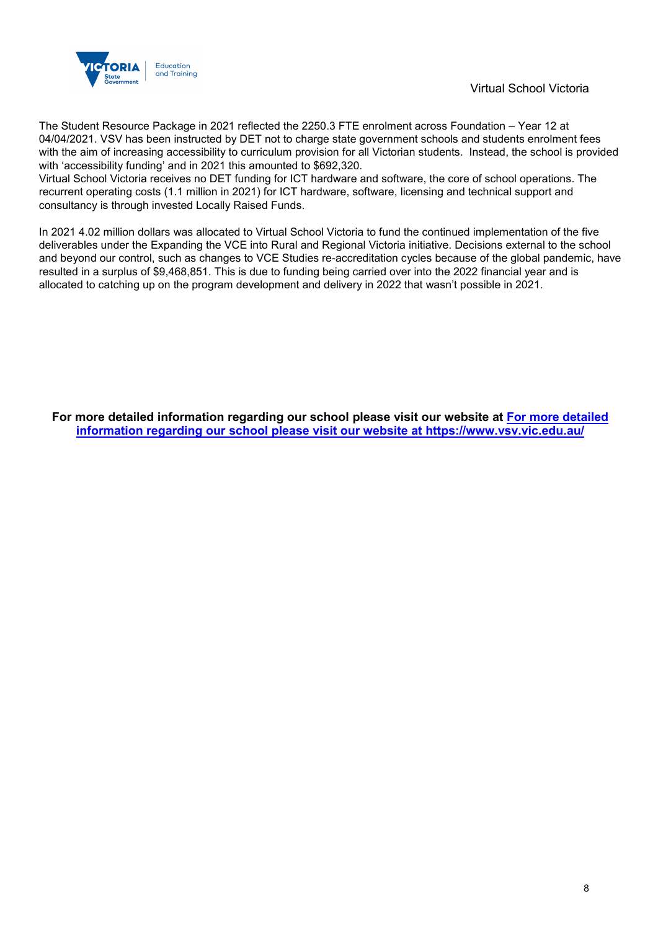

### Virtual School Victoria

The Student Resource Package in 2021 reflected the 2250.3 FTE enrolment across Foundation – Year 12 at 04/04/2021. VSV has been instructed by DET not to charge state government schools and students enrolment fees with the aim of increasing accessibility to curriculum provision for all Victorian students. Instead, the school is provided with 'accessibility funding' and in 2021 this amounted to \$692,320.

Virtual School Victoria receives no DET funding for ICT hardware and software, the core of school operations. The recurrent operating costs (1.1 million in 2021) for ICT hardware, software, licensing and technical support and consultancy is through invested Locally Raised Funds.

In 2021 4.02 million dollars was allocated to Virtual School Victoria to fund the continued implementation of the five deliverables under the Expanding the VCE into Rural and Regional Victoria initiative. Decisions external to the school and beyond our control, such as changes to VCE Studies re-accreditation cycles because of the global pandemic, have resulted in a surplus of \$9,468,851. This is due to funding being carried over into the 2022 financial year and is allocated to catching up on the program development and delivery in 2022 that wasn't possible in 2021.

**For more detailed information regarding our school please visit our website at For more detailed information regarding our school please visit our website at https://www.vsv.vic.edu.au/**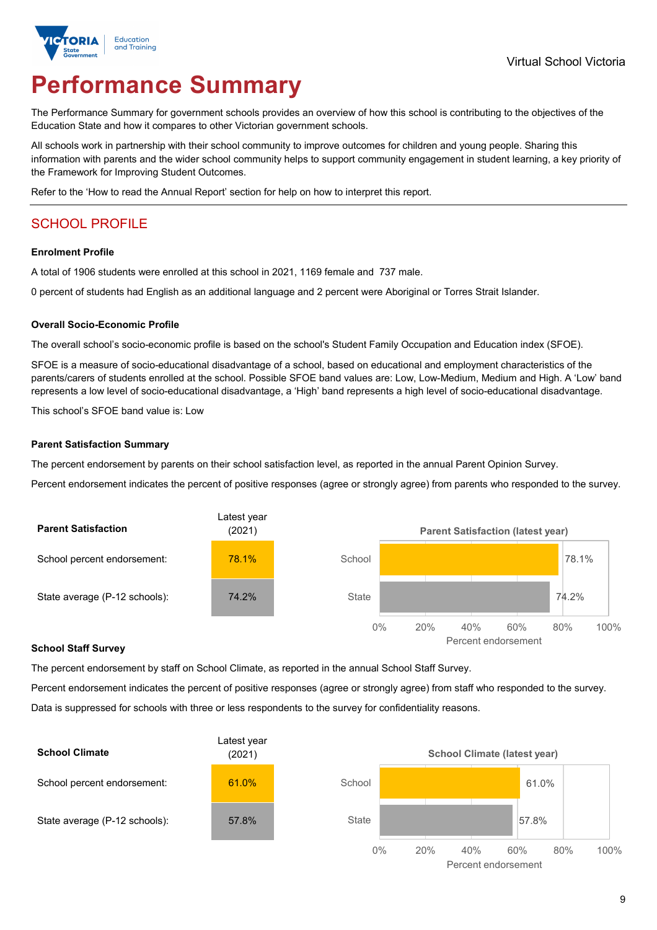

# **Performance Summary**

The Performance Summary for government schools provides an overview of how this school is contributing to the objectives of the Education State and how it compares to other Victorian government schools.

All schools work in partnership with their school community to improve outcomes for children and young people. Sharing this information with parents and the wider school community helps to support community engagement in student learning, a key priority of the Framework for Improving Student Outcomes.

Refer to the 'How to read the Annual Report' section for help on how to interpret this report.

# SCHOOL PROFILE

#### **Enrolment Profile**

A total of 1906 students were enrolled at this school in 2021, 1169 female and 737 male.

0 percent of students had English as an additional language and 2 percent were Aboriginal or Torres Strait Islander.

#### **Overall Socio-Economic Profile**

The overall school's socio-economic profile is based on the school's Student Family Occupation and Education index (SFOE).

SFOE is a measure of socio-educational disadvantage of a school, based on educational and employment characteristics of the parents/carers of students enrolled at the school. Possible SFOE band values are: Low, Low-Medium, Medium and High. A 'Low' band represents a low level of socio-educational disadvantage, a 'High' band represents a high level of socio-educational disadvantage.

This school's SFOE band value is: Low

### **Parent Satisfaction Summary**

The percent endorsement by parents on their school satisfaction level, as reported in the annual Parent Opinion Survey.

Percent endorsement indicates the percent of positive responses (agree or strongly agree) from parents who responded to the survey.



### **School Staff Survey**

The percent endorsement by staff on School Climate, as reported in the annual School Staff Survey.

Percent endorsement indicates the percent of positive responses (agree or strongly agree) from staff who responded to the survey. Data is suppressed for schools with three or less respondents to the survey for confidentiality reasons.

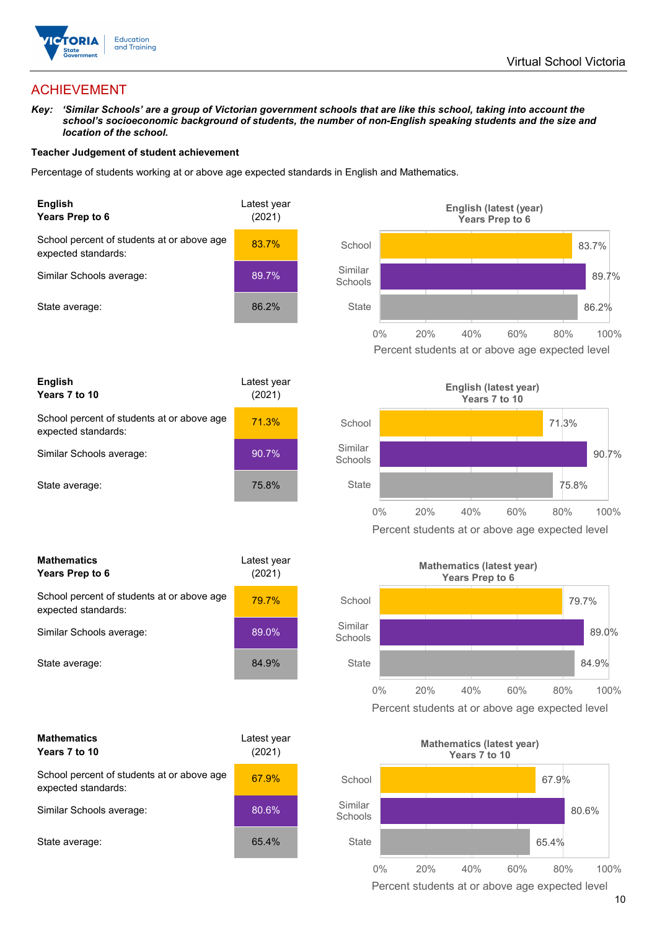

## ACHIEVEMENT

*Key: 'Similar Schools' are a group of Victorian government schools that are like this school, taking into account the school's socioeconomic background of students, the number of non-English speaking students and the size and location of the school.*

### **Teacher Judgement of student achievement**

Percentage of students working at or above age expected standards in English and Mathematics.



**English Years 7 to 10** Latest year (2021) School percent of students at or above age expected standards: 71.3% Similar Schools average: 90.7% State average: 75.8%

| <b>Mathematics</b><br>Years Prep to 6                             | Latest year<br>(2021) |  |
|-------------------------------------------------------------------|-----------------------|--|
| School percent of students at or above age<br>expected standards: | 79.7%                 |  |
| Similar Schools average:                                          | 89.0%                 |  |
| State average:                                                    | 84.9%                 |  |

| <b>Mathematics</b><br>Years 7 to 10                               | Latest year<br>(2021) |  |
|-------------------------------------------------------------------|-----------------------|--|
| School percent of students at or above age<br>expected standards: | 67.9%                 |  |
| Similar Schools average:                                          | 80.6%                 |  |
| State average:                                                    | 65.4%                 |  |







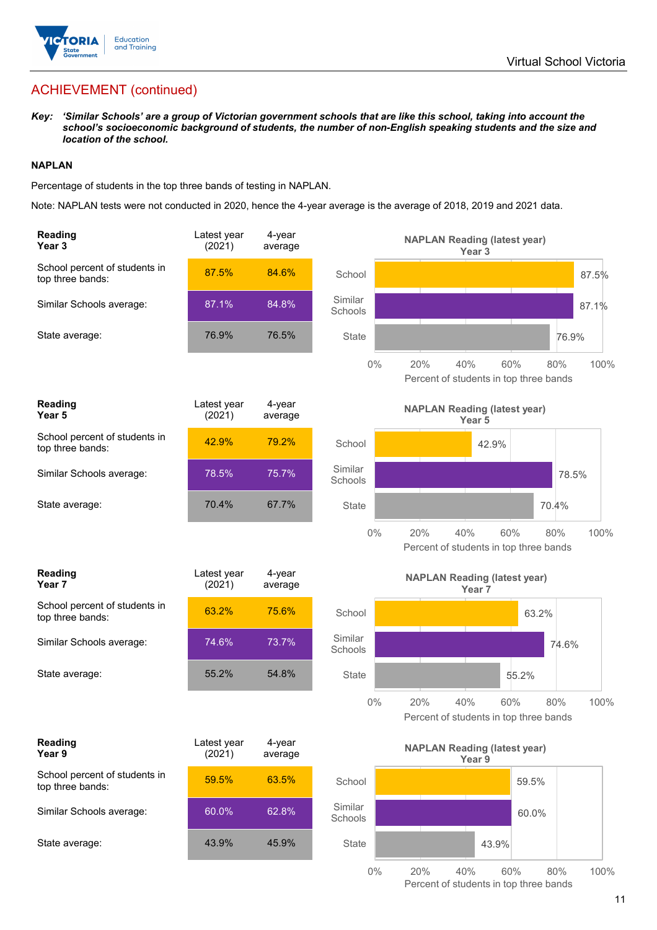

*Key: 'Similar Schools' are a group of Victorian government schools that are like this school, taking into account the school's socioeconomic background of students, the number of non-English speaking students and the size and location of the school.*

### **NAPLAN**

Percentage of students in the top three bands of testing in NAPLAN.

Note: NAPLAN tests were not conducted in 2020, hence the 4-year average is the average of 2018, 2019 and 2021 data.

| Reading<br>Year <sub>3</sub>                      | Latest year<br>(2021) | 4-year<br>average |                    | <b>NAPLAN Reading (latest year)</b><br>Year <sub>3</sub>                   |
|---------------------------------------------------|-----------------------|-------------------|--------------------|----------------------------------------------------------------------------|
| School percent of students in<br>top three bands: | 87.5%                 | 84.6%             | School             | 87.5%                                                                      |
| Similar Schools average:                          | 87.1%                 | 84.8%             | Similar<br>Schools | 87.1%                                                                      |
| State average:                                    | 76.9%                 | 76.5%             | <b>State</b>       | 76.9%                                                                      |
|                                                   |                       |                   | $0\%$              | 20%<br>40%<br>60%<br>100%<br>80%<br>Percent of students in top three bands |
| Reading<br>Year 5                                 | Latest year<br>(2021) | 4-year<br>average |                    | <b>NAPLAN Reading (latest year)</b><br>Year 5                              |
| School percent of students in<br>top three bands: | 42.9%                 | 79.2%             | School             | 42.9%                                                                      |
| Similar Schools average:                          | 78.5%                 | 75.7%             | Similar<br>Schools | 78.5%                                                                      |
| State average:                                    | 70.4%                 | 67.7%             | <b>State</b>       | 70.4%                                                                      |
|                                                   |                       |                   | $0\%$              | 20%<br>40%<br>60%<br>80%<br>100%<br>Percent of students in top three bands |
| Reading<br>Year 7                                 | Latest year<br>(2021) | 4-year<br>average |                    | <b>NAPLAN Reading (latest year)</b><br>Year <sub>7</sub>                   |
| School percent of students in<br>top three bands: | 63.2%                 | 75.6%             | School             | 63.2%                                                                      |
| Similar Schools average:                          | 74.6%                 | 73.7%             | Similar<br>Schools | 74.6%                                                                      |
| State average:                                    | 55.2%                 | 54.8%             | State              | 55.2%                                                                      |
|                                                   |                       |                   | $0\%$              | 40%<br>100%<br>20%<br>60%<br>80%<br>Percent of students in top three bands |
| Reading<br>Year 9                                 | Latest year<br>(2021) | 4-year<br>average |                    | <b>NAPLAN Reading (latest year)</b><br>Year 9                              |
| School percent of students in<br>top three bands: | 59.5%                 | 63.5%             | School             | 59.5%                                                                      |
| Similar Schools average:                          | 60.0%                 | 62.8%             | Similar<br>Schools | 60.0%                                                                      |
| State average:                                    | 43.9%                 | 45.9%             | <b>State</b>       | 43.9%                                                                      |
|                                                   |                       |                   | $0\%$              | 20%<br>40%<br>60%<br>80%<br>100%<br>Percent of students in top three bands |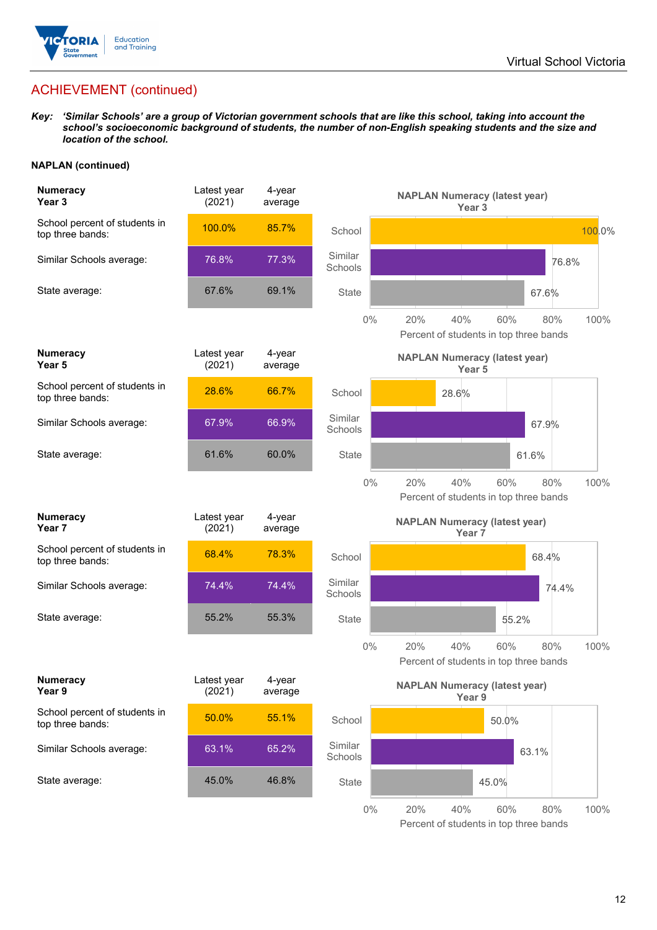

*Key: 'Similar Schools' are a group of Victorian government schools that are like this school, taking into account the school's socioeconomic background of students, the number of non-English speaking students and the size and location of the school.*

### **NAPLAN (continued)**

| <b>Numeracy</b><br>Year <sub>3</sub>              | Latest year<br>(2021) | 4-year<br>average |                    | <b>NAPLAN Numeracy (latest year)</b><br>Year <sub>3</sub> |                    |
|---------------------------------------------------|-----------------------|-------------------|--------------------|-----------------------------------------------------------|--------------------|
| School percent of students in<br>top three bands: | 100.0%                | 85.7%             | School             |                                                           | 100.0%             |
| Similar Schools average:                          | 76.8%                 | 77.3%             | Similar<br>Schools |                                                           | 76.8%              |
| State average:                                    | 67.6%                 | 69.1%             | <b>State</b>       |                                                           | 67.6%              |
|                                                   |                       |                   | $0\%$              | 20%<br>40%<br>Percent of students in top three bands      | 80%<br>100%<br>60% |
| <b>Numeracy</b><br>Year <sub>5</sub>              | Latest year<br>(2021) | 4-year<br>average |                    | <b>NAPLAN Numeracy (latest year)</b><br>Year <sub>5</sub> |                    |
| School percent of students in<br>top three bands: | 28.6%                 | 66.7%             | School             | 28.6%                                                     |                    |
| Similar Schools average:                          | 67.9%                 | 66.9%             | Similar<br>Schools |                                                           | 67.9%              |
| State average:                                    | 61.6%                 | 60.0%             | State              |                                                           | 61.6%              |
|                                                   |                       |                   | $0\%$              | 20%<br>40%<br>Percent of students in top three bands      | 60%<br>80%<br>100% |
| <b>Numeracy</b><br>Year <sub>7</sub>              | Latest year<br>(2021) | 4-year<br>average |                    | <b>NAPLAN Numeracy (latest year)</b><br>Year <sub>7</sub> |                    |
| School percent of students in<br>top three bands: | 68.4%                 | 78.3%             | School             |                                                           | 68.4%              |
| Similar Schools average:                          | 74.4%                 | 74.4%             | Similar<br>Schools |                                                           | 74.4%              |
| State average:                                    | 55.2%                 | 55.3%             | <b>State</b>       |                                                           | 55.2%              |
|                                                   |                       |                   | $0\%$              | 20%<br>40%<br>Percent of students in top three bands      | 60%<br>80%<br>100% |
| <b>Numeracy</b><br>Year 9                         | Latest year<br>(2021) | 4-year<br>average |                    | <b>NAPLAN Numeracy (latest year)</b><br>Year 9            |                    |
| School percent of students in<br>top three bands: | 50.0%                 | 55.1%             | School             |                                                           | 50.0%              |
| Similar Schools average:                          | 63.1%                 | 65.2%             | Similar<br>Schools |                                                           | 63.1%              |
| State average:                                    | 45.0%                 | 46.8%             | State              | 45.0%                                                     |                    |
|                                                   |                       |                   | $0\%$              | 20%<br>40%                                                | 80%<br>100%<br>60% |

Percent of students in top three bands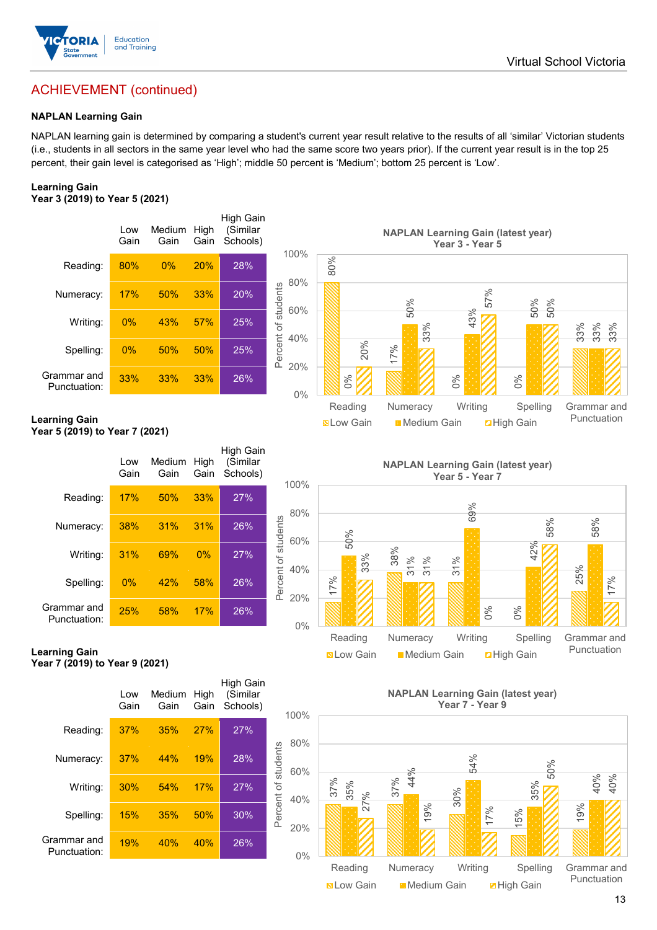

### **NAPLAN Learning Gain**

NAPLAN learning gain is determined by comparing a student's current year result relative to the results of all 'similar' Victorian students (i.e., students in all sectors in the same year level who had the same score two years prior). If the current year result is in the top 25 percent, their gain level is categorised as 'High'; middle 50 percent is 'Medium'; bottom 25 percent is 'Low'.

### **Learning Gain Year 3 (2019) to Year 5 (2021)**



100%

#### **Learning Gain Year 5 (2019) to Year 7 (2021)**

|                             | Low<br>Gain | Medium<br>Gain | High<br>Gain | High Gain<br>(Similar<br>Schools) | í                   |
|-----------------------------|-------------|----------------|--------------|-----------------------------------|---------------------|
| Reading:                    | 17%         | 50%            | 33%          | 27%                               |                     |
| Numeracy:                   | 38%         | 31%            | 31%          | 26%                               |                     |
| Writing:                    | 31%         | 69%            | 0%           | 27%                               |                     |
| Spelling:                   | 0%          | 42%            | 58%          | 26%                               | Percent of students |
| Grammar and<br>Punctuation: | 25%         | 58%            | 17%          | 26%                               |                     |

# 69% **Year 5 - Year 7**

**Nation Medium Gain High Gain** 



**NAPLAN Learning Gain (latest year)**

#### **Learning Gain Year 7 (2019) to Year 9 (2021)**

|                             | Low<br>Gain | Medium<br>Gain | High<br>Gain | High Gain<br>(Similar<br>Schools) |                     | 10             |
|-----------------------------|-------------|----------------|--------------|-----------------------------------|---------------------|----------------|
| Reading:                    | 37%         | 35%            | 27%          | 27%                               |                     | 8              |
| Numeracy:                   | 37%         | 44%            | 19%          | 28%                               | Percent of students | 6              |
| Writing:                    | 30%         | 54%            | 17%          | 27%                               |                     | $\overline{A}$ |
| Spelling:                   | 15%         | 35%            | 50%          | 30%                               |                     | 2              |
| Grammar and<br>Punctuation: | 19%         | 40%            | 40%          | 26%                               |                     |                |

#### **NAPLAN Learning Gain (latest year) Year 7 - Year 9**



Punctuation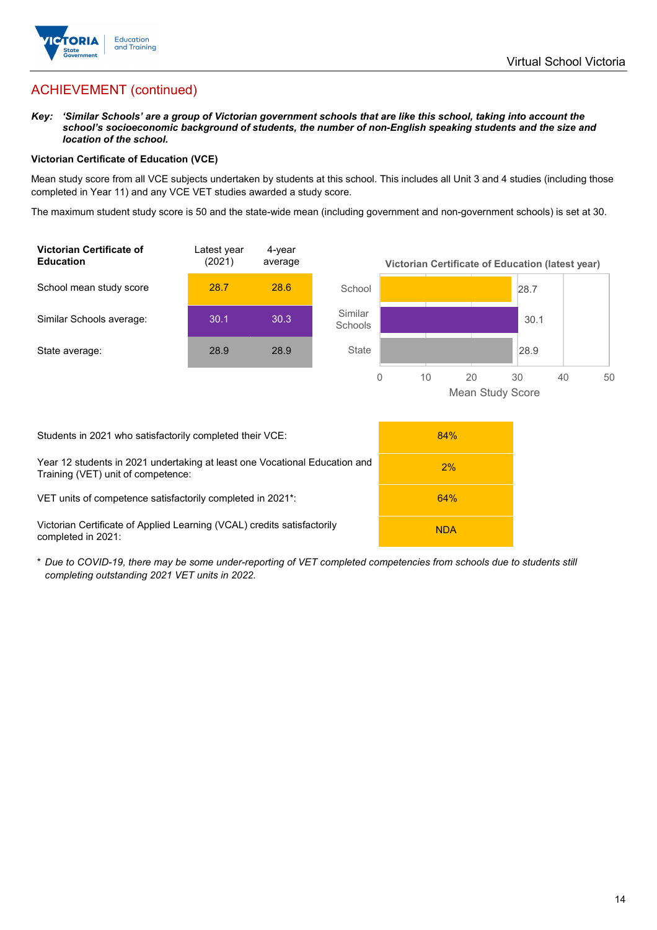

*Key: 'Similar Schools' are a group of Victorian government schools that are like this school, taking into account the school's socioeconomic background of students, the number of non-English speaking students and the size and location of the school.*

### **Victorian Certificate of Education (VCE)**

Mean study score from all VCE subjects undertaken by students at this school. This includes all Unit 3 and 4 studies (including those completed in Year 11) and any VCE VET studies awarded a study score.

The maximum student study score is 50 and the state-wide mean (including government and non-government schools) is set at 30.



| Students in 2021 who satisfactorily completed their VCE:                                                         | 84%        |  |
|------------------------------------------------------------------------------------------------------------------|------------|--|
| Year 12 students in 2021 undertaking at least one Vocational Education and<br>Training (VET) unit of competence: | 2%         |  |
| VET units of competence satisfactorily completed in 2021 <sup>*</sup> :                                          | 64%        |  |
| Victorian Certificate of Applied Learning (VCAL) credits satisfactorily<br>completed in 2021:                    | <b>NDA</b> |  |

\* *Due to COVID-19, there may be some under-reporting of VET completed competencies from schools due to students still completing outstanding 2021 VET units in 2022.*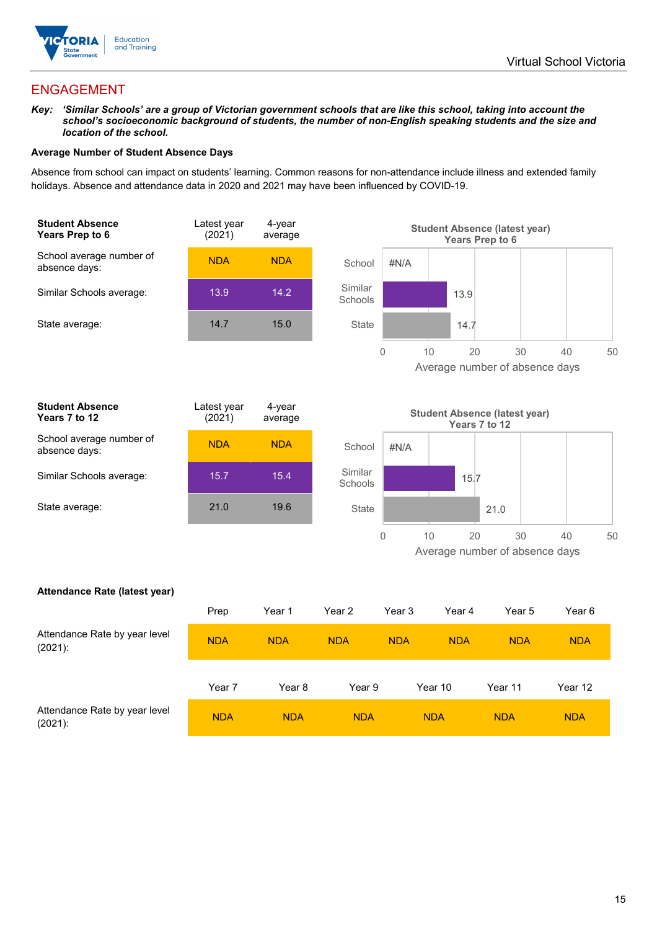

## ENGAGEMENT

*Key: 'Similar Schools' are a group of Victorian government schools that are like this school, taking into account the school's socioeconomic background of students, the number of non-English speaking students and the size and location of the school.*

### **Average Number of Student Absence Days**

Absence from school can impact on students' learning. Common reasons for non-attendance include illness and extended family holidays. Absence and attendance data in 2020 and 2021 may have been influenced by COVID-19.





| Student Absence<br>Years 7 to 12          | Latest year<br>(2021) | 4-year<br>average |
|-------------------------------------------|-----------------------|-------------------|
| School average number of<br>absence days: | <b>NDA</b>            | <b>NDA</b>        |
| Similar Schools average:                  | 15.7                  | 15.4              |
| State average:                            | 21.0                  | 19.6              |
|                                           |                       |                   |



#### **Attendance Rate (latest year)**

|                                             | Prep       | Year 1     | Year 2     | Year 3     | Year 4     | Year 5     | Year 6     |
|---------------------------------------------|------------|------------|------------|------------|------------|------------|------------|
| Attendance Rate by year level<br>$(2021)$ : | <b>NDA</b> | <b>NDA</b> | <b>NDA</b> | <b>NDA</b> | <b>NDA</b> | <b>NDA</b> | <b>NDA</b> |
|                                             | Year 7     | Year 8     | Year 9     |            | Year 10    | Year 11    | Year 12    |
| Attendance Rate by year level<br>$(2021)$ : | <b>NDA</b> | <b>NDA</b> | <b>NDA</b> |            | <b>NDA</b> | <b>NDA</b> | <b>NDA</b> |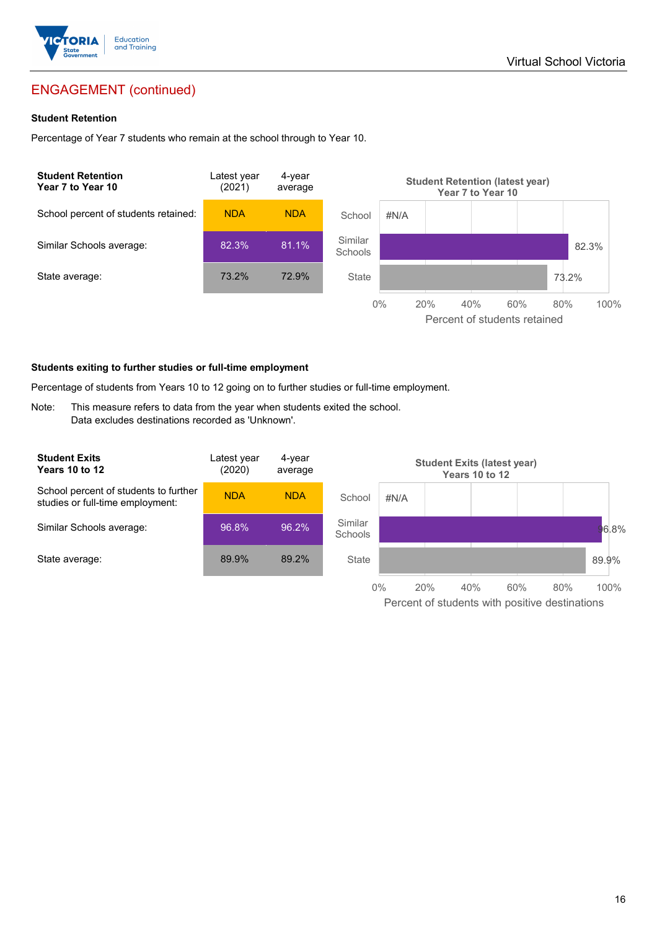

# ENGAGEMENT (continued)

### **Student Retention**

Percentage of Year 7 students who remain at the school through to Year 10.



### **Students exiting to further studies or full-time employment**

Percentage of students from Years 10 to 12 going on to further studies or full-time employment.

Note: This measure refers to data from the year when students exited the school. Data excludes destinations recorded as 'Unknown'.

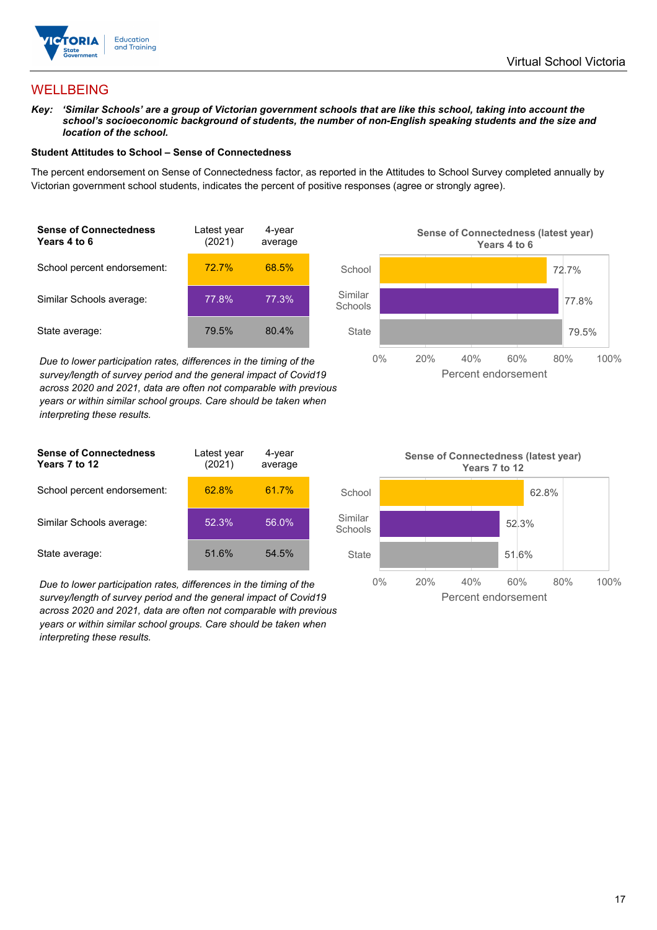

## **WELLBEING**

*Key: 'Similar Schools' are a group of Victorian government schools that are like this school, taking into account the school's socioeconomic background of students, the number of non-English speaking students and the size and location of the school.*

### **Student Attitudes to School – Sense of Connectedness**

The percent endorsement on Sense of Connectedness factor, as reported in the Attitudes to School Survey completed annually by Victorian government school students, indicates the percent of positive responses (agree or strongly agree).

| <b>Sense of Connectedness</b><br>Years 4 to 6 | Latest year<br>(2021) | 4-year<br>average |  |
|-----------------------------------------------|-----------------------|-------------------|--|
| School percent endorsement:                   | 72.7%                 | 68.5%             |  |
| Similar Schools average:                      | 77.8%                 | 77.3%             |  |
| State average:                                | 79.5%                 | 80.4%             |  |

*Due to lower participation rates, differences in the timing of the survey/length of survey period and the general impact of Covid19 across 2020 and 2021, data are often not comparable with previous years or within similar school groups. Care should be taken when interpreting these results.*





*Due to lower participation rates, differences in the timing of the survey/length of survey period and the general impact of Covid19 across 2020 and 2021, data are often not comparable with previous years or within similar school groups. Care should be taken when interpreting these results.*

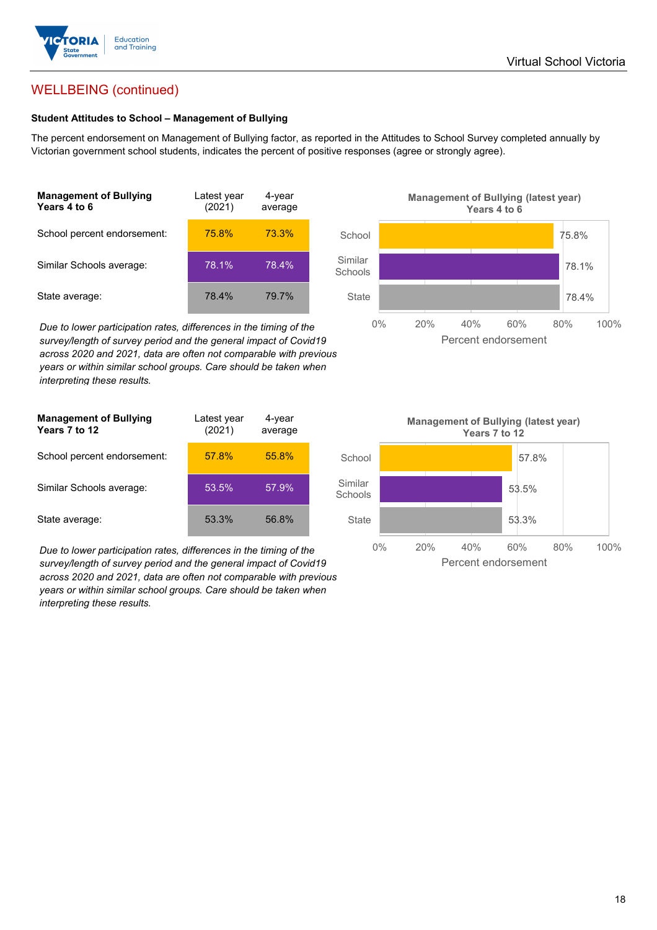

# WELLBEING (continued)

### **Student Attitudes to School – Management of Bullying**

The percent endorsement on Management of Bullying factor, as reported in the Attitudes to School Survey completed annually by Victorian government school students, indicates the percent of positive responses (agree or strongly agree).

| <b>Management of Bullying</b><br>Years 4 to 6 | Latest year<br>(2021) | 4-year<br>average |  |
|-----------------------------------------------|-----------------------|-------------------|--|
| School percent endorsement:                   | 75.8%                 | 73.3%             |  |
| Similar Schools average:                      | 78.1%                 | 78.4%             |  |
| State average:                                | 78.4%                 | 79.7%             |  |

*Due to lower participation rates, differences in the timing of the survey/length of survey period and the general impact of Covid19 across 2020 and 2021, data are often not comparable with previous years or within similar school groups. Care should be taken when interpreting these results.*

| <b>Management of Bullying</b><br>Years 7 to 12 | Latest year<br>(2021) | 4-year<br>average |  |
|------------------------------------------------|-----------------------|-------------------|--|
| School percent endorsement:                    | 57.8%                 | 55.8%             |  |
| Similar Schools average:                       | 53.5%                 | 57.9%             |  |
| State average:                                 | 53.3%                 | 56.8%             |  |

*Due to lower participation rates, differences in the timing of the survey/length of survey period and the general impact of Covid19 across 2020 and 2021, data are often not comparable with previous years or within similar school groups. Care should be taken when interpreting these results.*



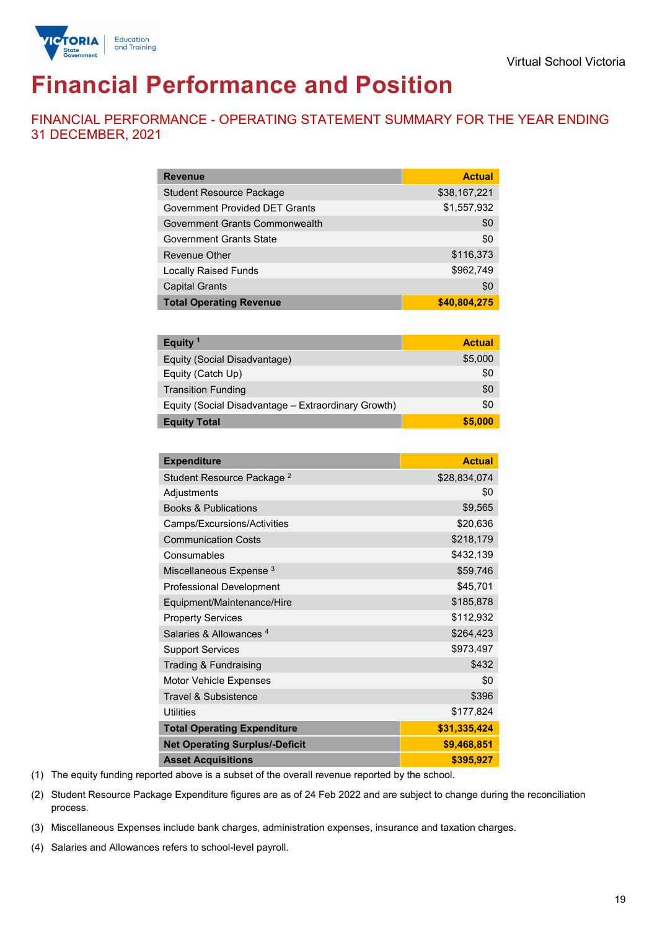

# **Financial Performance and Position**

FINANCIAL PERFORMANCE - OPERATING STATEMENT SUMMARY FOR THE YEAR ENDING 31 DECEMBER, 2021

| <b>Revenue</b>                  | <b>Actual</b> |
|---------------------------------|---------------|
| <b>Student Resource Package</b> | \$38,167,221  |
| Government Provided DET Grants  | \$1,557,932   |
| Government Grants Commonwealth  | \$0           |
| <b>Government Grants State</b>  | \$0           |
| <b>Revenue Other</b>            | \$116,373     |
| <b>Locally Raised Funds</b>     | \$962,749     |
| <b>Capital Grants</b>           | \$0           |
| <b>Total Operating Revenue</b>  | \$40,804,275  |

| Equity <sup>1</sup>                                 | <b>Actual</b> |
|-----------------------------------------------------|---------------|
| Equity (Social Disadvantage)                        | \$5,000       |
| Equity (Catch Up)                                   | \$0           |
| <b>Transition Funding</b>                           | \$0           |
| Equity (Social Disadvantage - Extraordinary Growth) | \$0           |
| <b>Equity Total</b>                                 | \$5,000       |

| <b>Expenditure</b>                    | <b>Actual</b> |
|---------------------------------------|---------------|
| Student Resource Package <sup>2</sup> | \$28,834,074  |
| Adjustments                           | \$0           |
| <b>Books &amp; Publications</b>       | \$9,565       |
| Camps/Excursions/Activities           | \$20,636      |
| <b>Communication Costs</b>            | \$218,179     |
| Consumables                           | \$432,139     |
| Miscellaneous Expense <sup>3</sup>    | \$59,746      |
| <b>Professional Development</b>       | \$45,701      |
| Equipment/Maintenance/Hire            | \$185,878     |
| <b>Property Services</b>              | \$112,932     |
| Salaries & Allowances <sup>4</sup>    | \$264,423     |
| <b>Support Services</b>               | \$973,497     |
| Trading & Fundraising                 | \$432         |
| <b>Motor Vehicle Expenses</b>         | \$0           |
| <b>Travel &amp; Subsistence</b>       | \$396         |
| <b>Utilities</b>                      | \$177,824     |
| <b>Total Operating Expenditure</b>    | \$31,335,424  |
| <b>Net Operating Surplus/-Deficit</b> | \$9,468,851   |
| <b>Asset Acquisitions</b>             | \$395,927     |

(1) The equity funding reported above is a subset of the overall revenue reported by the school.

(2) Student Resource Package Expenditure figures are as of 24 Feb 2022 and are subject to change during the reconciliation process.

(3) Miscellaneous Expenses include bank charges, administration expenses, insurance and taxation charges.

(4) Salaries and Allowances refers to school-level payroll.